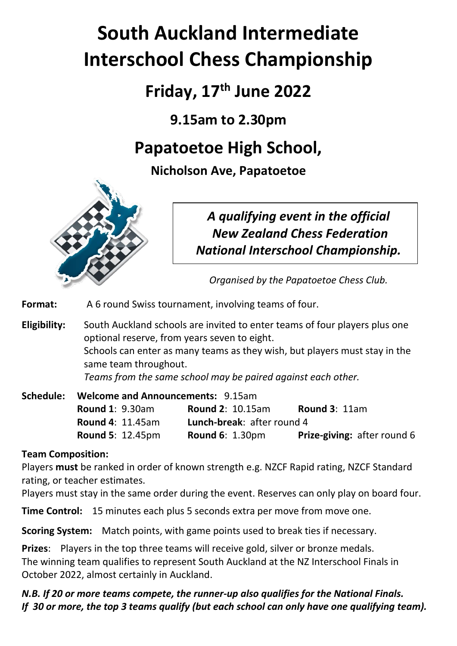# **South Auckland Intermediate Interschool Chess Championship**

**Friday, 17 th June 2022**

**9.15am to 2.30pm**

## **Papatoetoe High School,**

**Nicholson Ave, Papatoetoe**



*A qualifying event in the official New Zealand Chess Federation National Interschool Championship.*

*Organised by the Papatoetoe Chess Club.*

**Format:** A 6 round Swiss tournament, involving teams of four.

**Eligibility:** South Auckland schools are invited to enter teams of four players plus one optional reserve, from years seven to eight. Schools can enter as many teams as they wish, but players must stay in the same team throughout. *Teams from the same school may be paired against each other.* 

| Schedule: | <b>Welcome and Announcements: 9.15am</b> |                                   |                                    |
|-----------|------------------------------------------|-----------------------------------|------------------------------------|
|           | <b>Round 1: 9.30am</b>                   | <b>Round 2: 10.15am</b>           | <b>Round 3: 11am</b>               |
|           | <b>Round 4: 11.45am</b>                  | <b>Lunch-break: after round 4</b> |                                    |
|           | <b>Round 5: 12.45pm</b>                  | <b>Round 6: 1.30pm</b>            | <b>Prize-giving: after round 6</b> |

### **Team Composition:**

Players **must** be ranked in order of known strength e.g. NZCF Rapid rating, NZCF Standard rating, or teacher estimates.

Players must stay in the same order during the event. Reserves can only play on board four.

**Time Control:** 15 minutes each plus 5 seconds extra per move from move one.

**Scoring System:** Match points, with game points used to break ties if necessary.

**Prizes**: Players in the top three teams will receive gold, silver or bronze medals. The winning team qualifies to represent South Auckland at the NZ Interschool Finals in October 2022, almost certainly in Auckland.

*N.B. If 20 or more teams compete, the runner-up also qualifies for the National Finals. If 30 or more, the top 3 teams qualify (but each school can only have one qualifying team).*